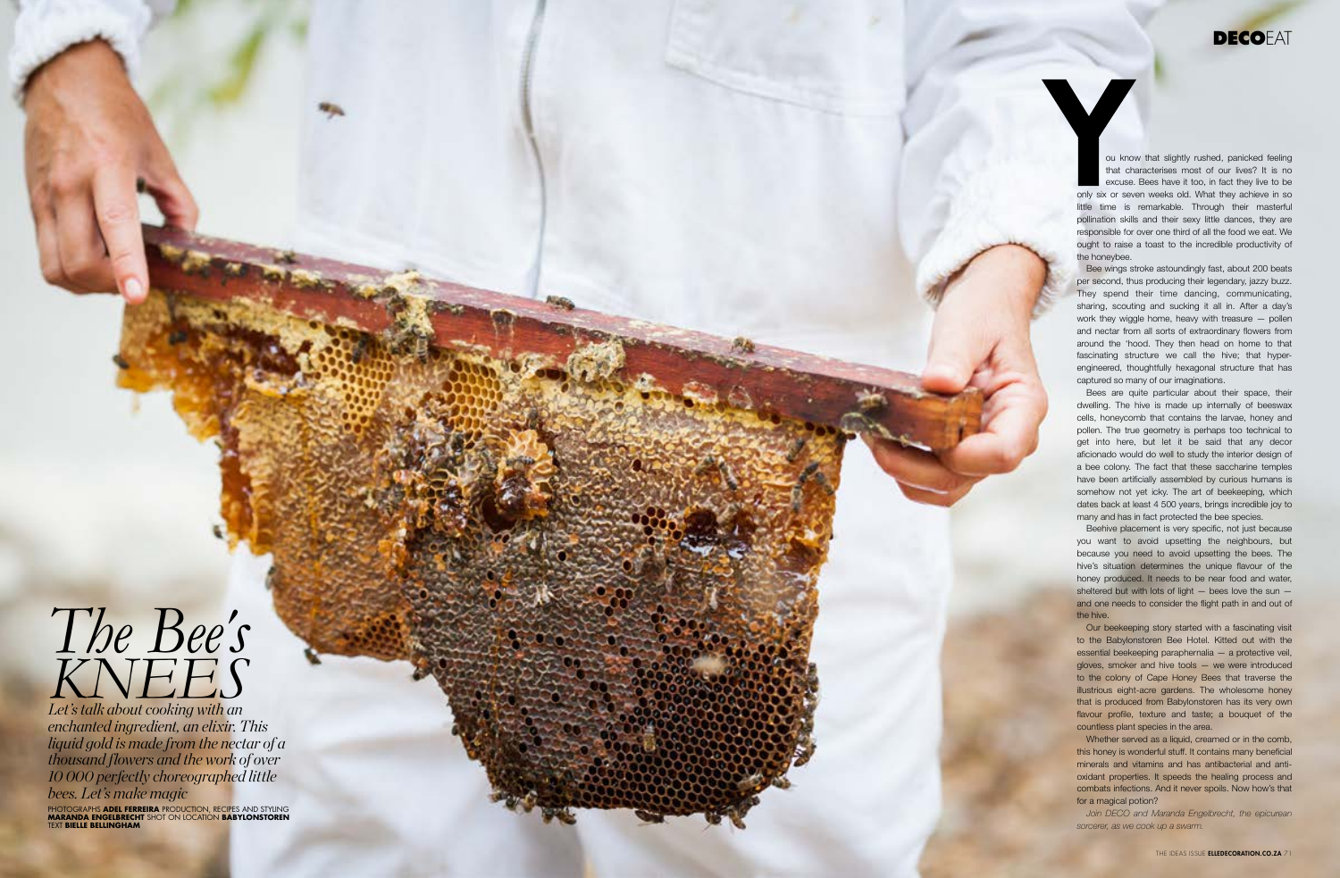# *The Bee 's KNEES*

*Let's talk about cooking with an enchanted ingredient, an elixir. This liquid gold is made from the nectar of a thousand flowers and the work of over 10 000 perfectly choreographed little bees. Let's make magic*  PHOTOGRAPHS **ADEL FERREIRA** PRODUCTION, RECIPES AND STYLING **MARANDA ENGELBRECHT** SHOT ON LOCATION **BABYLONSTOREN**  TEXT **BIELLE BELLINGHAM**

**DECO**EAT

ou know that slightly rushed, panicked feeling that characterises most of our lives? It is no excuse. Bees have it too, in fact they live to be only six or seven weeks old. What they achieve in so little time is remarkable. Through their masterful pollination skills and their sexy little dances, they are responsible for over one third of all the food we eat. We ought to raise a toast to the incredible productivity of the honeybee.

Bee wings stroke astoundingly fast, about 200 beats per second, thus producing their legendary, jazzy buzz. They spend their time dancing, communicating, sharing, scouting and sucking it all in. After a day's work they wiggle home, heavy with treasure — pollen and nectar from all sorts of extraordinary flowers from around the 'hood. They then head on home to that fascinating structure we call the hive; that hyperengineered, thoughtfully hexagonal structure that has captured so many of our imaginations.

Bees are quite particular about their space, their dwelling. The hive is made up internally of beeswax cells, honeycomb that contains the larvae, honey and pollen. The true geometry is perhaps too technical to get into here, but let it be said that any decor aficionado would do well to study the interior design of a bee colony. The fact that these saccharine temples have been artificially assembled by curious humans is somehow not yet icky. The art of beekeeping, which dates back at least 4 500 years, brings incredible joy to many and has in fact protected the bee species.

Beehive placement is very specific, not just because you want to avoid upsetting the neighbours, but because you need to avoid upsetting the bees. The hive's situation determines the unique flavour of the honey produced. It needs to be near food and water, sheltered but with lots of light  $-$  bees love the sun  $$ and one needs to consider the flight path in and out of the hive.

Our beekeeping story started with a fascinating visit to the Babylonstoren Bee Hotel. Kitted out with the essential beekeeping paraphernalia — a protective veil, gloves, smoker and hive tools — we were introduced to the colony of Cape Honey Bees that traverse the illustrious eight-acre gardens. The wholesome honey that is produced from Babylonstoren has its very own flavour profile, texture and taste; a bouquet of the countless plant species in the area.

Whether served as a liquid, creamed or in the comb, this honey is wonderful stuff. It contains many beneficial minerals and vitamins and has antibacterial and antioxidant properties. It speeds the healing process and combats infections. And it never spoils. Now how's that for a magical potion?

*Join DECO and Maranda Engelbrecht, the epicurean sorcerer, as we cook up a swarm.*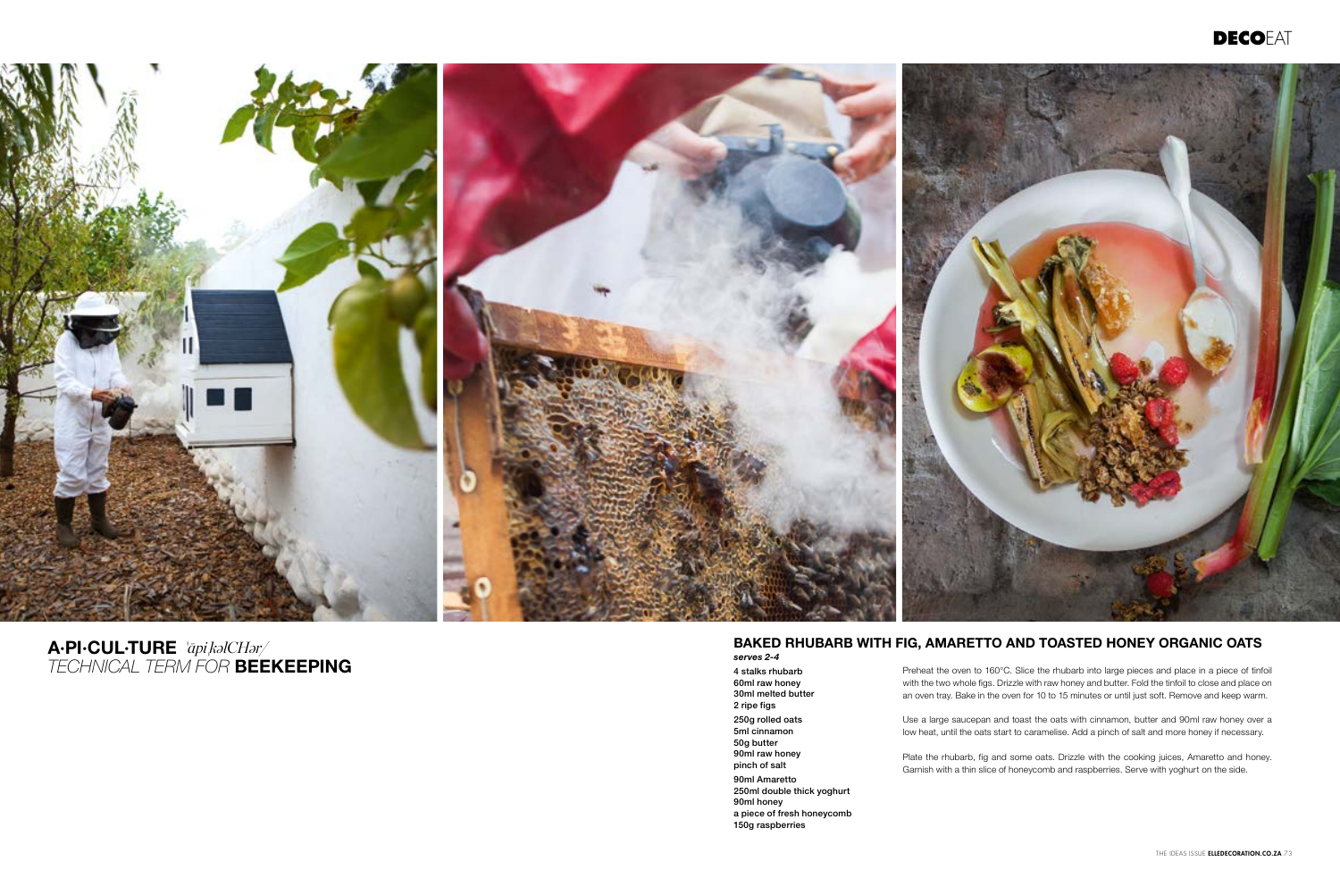### BAKED RHUBARB WITH FIG, AMARETTO AND TOASTED HONEY ORGANIC OATS

*serves 2-4* 4 stalks rhubarb 60ml raw honey 30ml melted butter 2 ripe figs 250g rolled oats 5ml cinnamon 50g butter 90ml raw honey pinch of salt 90ml Amaretto 250ml double thick yoghurt 90ml honey a piece of fresh honeycomb

150g raspberries

Preheat the oven to 160°C. Slice the rhubarb into large pieces and place in a piece of tinfoil with the two whole figs. Drizzle with raw honey and butter. Fold the tinfoil to close and place on an oven tray. Bake in the oven for 10 to 15 minutes or until just soft. Remove and keep warm.

Use a large saucepan and toast the oats with cinnamon, butter and 90ml raw honey over a low heat, until the oats start to caramelise. Add a pinch of salt and more honey if necessary.

Plate the rhubarb, fig and some oats. Drizzle with the cooking juices, Amaretto and honey. Garnish with a thin slice of honeycomb and raspberries. Serve with yoghurt on the side.





'*āpi*' A·PI·CUL·TURE *kəlCHər/ TECHNICAL TERM FOR* BEEKEEPING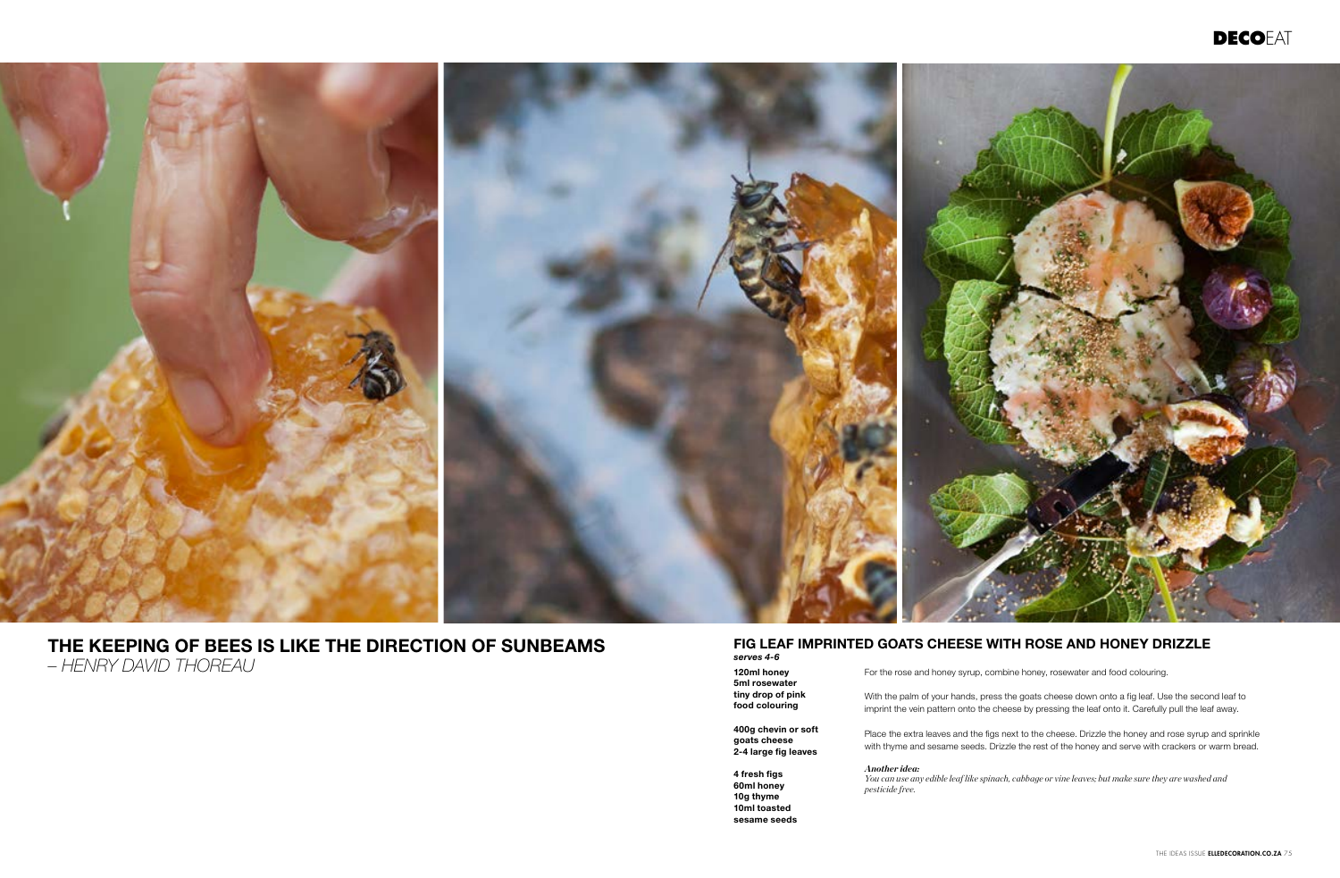

## THE KEEPING OF BEES IS LIKE THE DIRECTION OF SUNBEAMS *– HENRY DAVID THOREAU*

#### FIG LEAF IMPRINTED GOATS CHEESE WITH ROSE AND HONEY DRIZZLE *serves 4-6*

120ml honey 5ml rosewater tiny drop of pink food colouring

400g chevin or soft goats cheese 2-4 large fig leaves

4 fresh figs 60ml honey 10g thyme 10ml toasted sesame seeds

For the rose and honey syrup, combine honey, rosewater and food colouring.

With the palm of your hands, press the goats cheese down onto a fig leaf. Use the second leaf to imprint the vein pattern onto the cheese by pressing the leaf onto it. Carefully pull the leaf away.

Place the extra leaves and the figs next to the cheese. Drizzle the honey and rose syrup and sprinkle with thyme and sesame seeds. Drizzle the rest of the honey and serve with crackers or warm bread.

*You can use any edible leaf like spinach, cabbage or vine leaves; but make sure they are washed and* 

*Another idea: pesticide free.* 

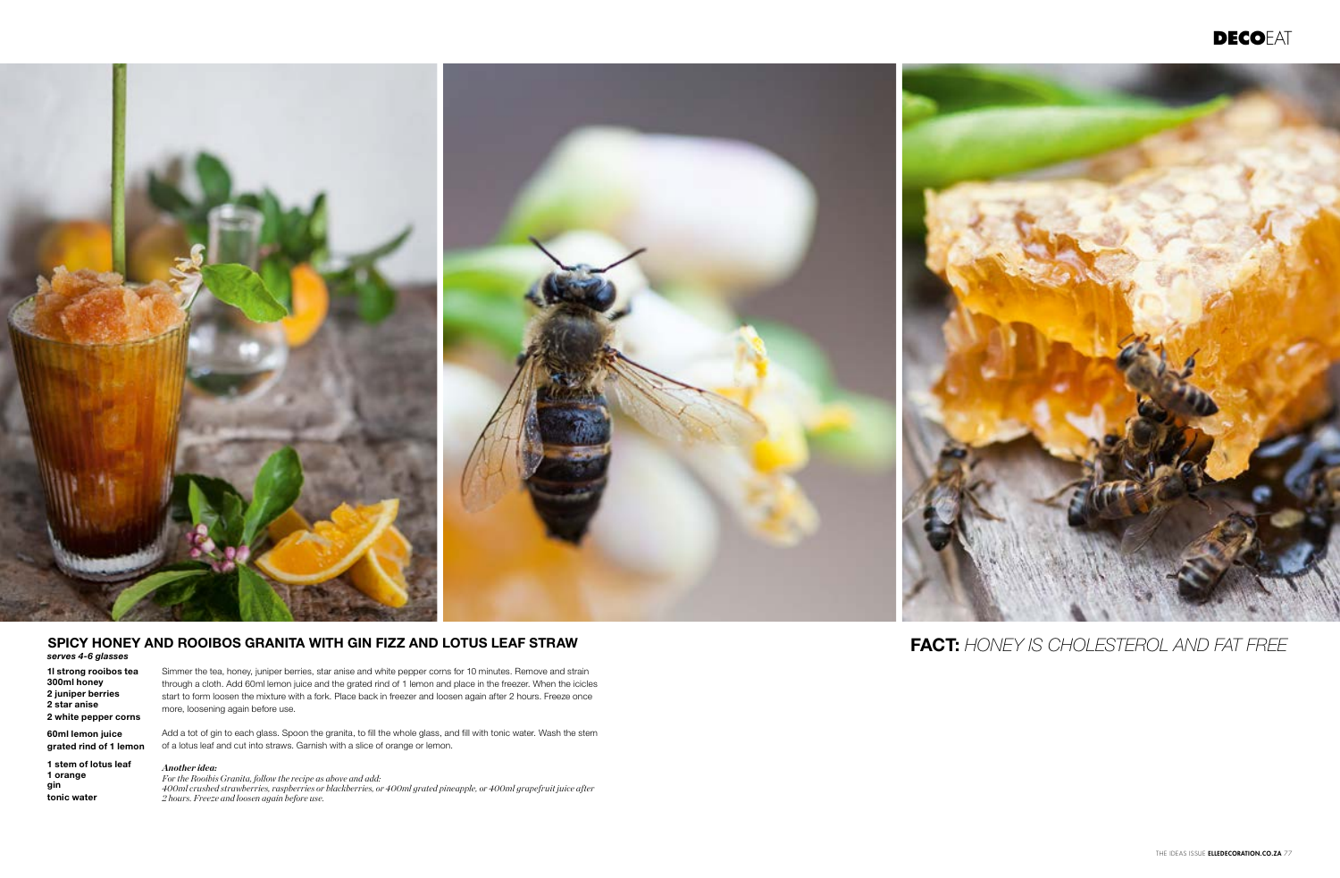

#### SPICY HONEY AND ROOIBOS GRANITA WITH GIN FIZZ AND LOTUS LEAF STRAW

*serves 4-6 glasses*

1l strong rooibos tea 300ml honey 2 juniper berries 2 star anise 2 white pepper corns

60ml lemon juice grated rind of 1 lemon

1 stem of lotus leaf 1 orange gin tonic water

Simmer the tea, honey, juniper berries, star anise and white pepper corns for 10 minutes. Remove and strain through a cloth. Add 60ml lemon juice and the grated rind of 1 lemon and place in the freezer. When the icicles start to form loosen the mixture with a fork. Place back in freezer and loosen again after 2 hours. Freeze once more, loosening again before use.

Add a tot of gin to each glass. Spoon the granita, to fill the whole glass, and fill with tonic water. Wash the stem of a lotus leaf and cut into straws. Garnish with a slice of orange or lemon.

*Another idea:*

*For the Rooibis Granita, follow the recipe as above and add: 400ml crushed strawberries, raspberries or blackberries, or 400ml grated pineapple, or 400ml grapefruit juice after 2 hours. Freeze and loosen again before use.*



FACT: *HONEY IS CHOLESTEROL AND FAT FREE*

THE IDEAS ISSUE ELLEDECORATION.CO.ZA 77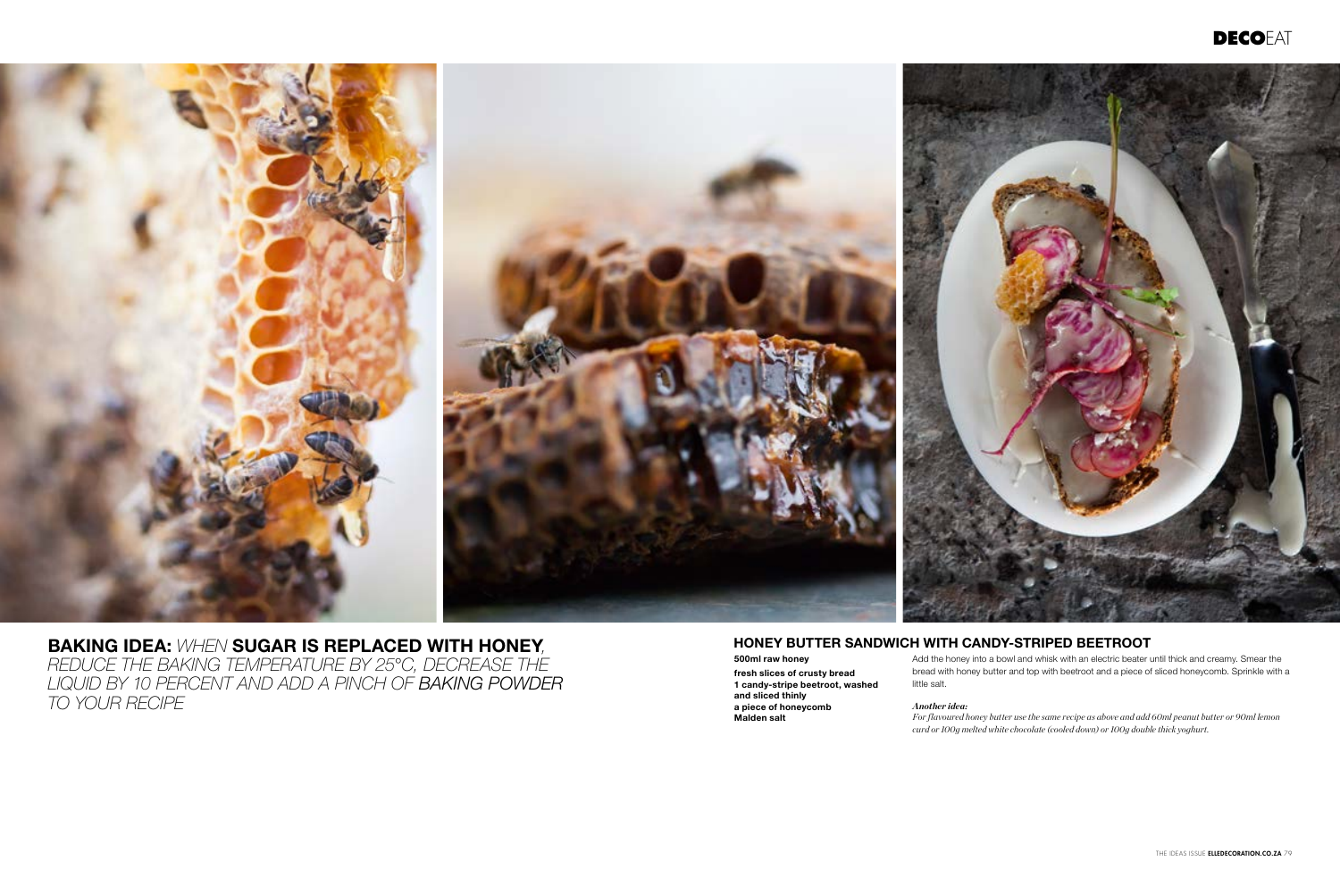HONEY BUTTER SANDWICH WITH CANDY-STRIPED BEETROOT

500ml raw honey fresh slices of crusty bread 1 candy-stripe beetroot, washed and sliced thinly a piece of honeycomb Malden salt

Add the honey into a bowl and whisk with an electric beater until thick and creamy. Smear the bread with honey butter and top with beetroot and a piece of sliced honeycomb. Sprinkle with a

## little salt.

*Another idea:*

*For flavoured honey butter use the same recipe as above and add 60ml peanut butter or 90ml lemon curd or 100g melted white chocolate (cooled down) or 100g double thick yoghurt.*





BAKING IDEA: *WHEN* SUGAR IS REPLACED WITH HONEY*, REDUCE THE BAKING TEMPERATURE BY 25°C, DECREASE THE LIQUID BY 10 PERCENT AND ADD A PINCH OF BAKING POWDER TO YOUR RECIPE*